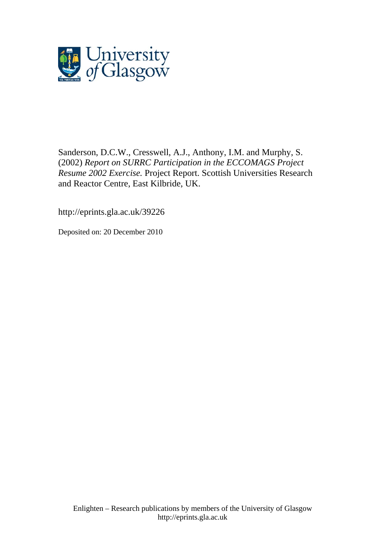

Sanderson, D.C.W., Cresswell, A.J., Anthony, I.M. and Murphy, S. (2002) *Report on SURRC Participation in the ECCOMAGS Project Resume 2002 Exercise.* Project Report. Scottish Universities Research and Reactor Centre, East Kilbride, UK.

http://eprints.gla.ac.uk/39226

Deposited on: 20 December 2010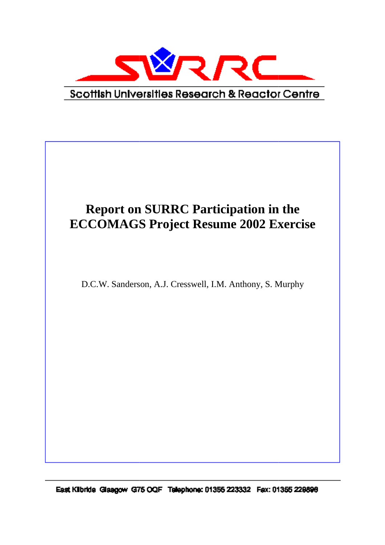

# **Report on SURRC Participation in the ECCOMAGS Project Resume 2002 Exercise**

D.C.W. Sanderson, A.J. Cresswell, I.M. Anthony, S. Murphy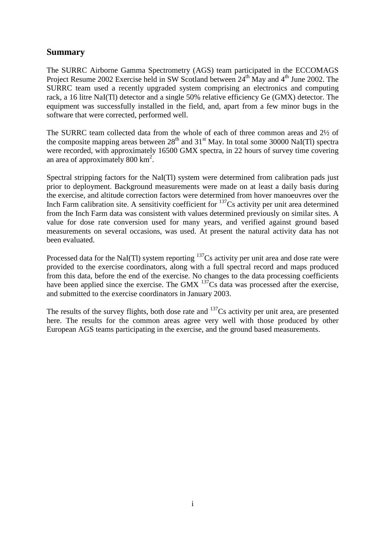## **Summary**

The SURRC Airborne Gamma Spectrometry (AGS) team participated in the ECCOMAGS Project Resume 2002 Exercise held in SW Scotland between 24<sup>th</sup> May and 4<sup>th</sup> June 2002. The SURRC team used a recently upgraded system comprising an electronics and computing rack, a 16 litre NaI(Tl) detector and a single 50% relative efficiency Ge (GMX) detector. The equipment was successfully installed in the field, and, apart from a few minor bugs in the software that were corrected, performed well.

The SURRC team collected data from the whole of each of three common areas and 2½ of the composite mapping areas between  $28<sup>th</sup>$  and  $31<sup>st</sup>$  May. In total some 30000 NaI(Tl) spectra were recorded, with approximately 16500 GMX spectra, in 22 hours of survey time covering an area of approximately  $800 \text{ km}^2$ .

Spectral stripping factors for the NaI(Tl) system were determined from calibration pads just prior to deployment. Background measurements were made on at least a daily basis during the exercise, and altitude correction factors were determined from hover manoeuvres over the Inch Farm calibration site. A sensitivity coefficient for  $137$ Cs activity per unit area determined from the Inch Farm data was consistent with values determined previously on similar sites. A value for dose rate conversion used for many years, and verified against ground based measurements on several occasions, was used. At present the natural activity data has not been evaluated.

Processed data for the NaI(Tl) system reporting  $137Cs$  activity per unit area and dose rate were provided to the exercise coordinators, along with a full spectral record and maps produced from this data, before the end of the exercise. No changes to the data processing coefficients have been applied since the exercise. The GMX  $^{137}$ Cs data was processed after the exercise, and submitted to the exercise coordinators in January 2003.

The results of the survey flights, both dose rate and <sup>137</sup>Cs activity per unit area, are presented here. The results for the common areas agree very well with those produced by other European AGS teams participating in the exercise, and the ground based measurements.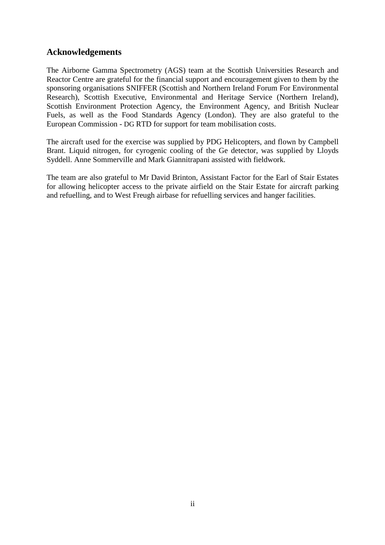## **Acknowledgements**

The Airborne Gamma Spectrometry (AGS) team at the Scottish Universities Research and Reactor Centre are grateful for the financial support and encouragement given to them by the sponsoring organisations SNIFFER (Scottish and Northern Ireland Forum For Environmental Research), Scottish Executive, Environmental and Heritage Service (Northern Ireland), Scottish Environment Protection Agency, the Environment Agency, and British Nuclear Fuels, as well as the Food Standards Agency (London). They are also grateful to the European Commission - DG RTD for support for team mobilisation costs.

The aircraft used for the exercise was supplied by PDG Helicopters, and flown by Campbell Brant. Liquid nitrogen, for cyrogenic cooling of the Ge detector, was supplied by Lloyds Syddell. Anne Sommerville and Mark Giannitrapani assisted with fieldwork.

The team are also grateful to Mr David Brinton, Assistant Factor for the Earl of Stair Estates for allowing helicopter access to the private airfield on the Stair Estate for aircraft parking and refuelling, and to West Freugh airbase for refuelling services and hanger facilities.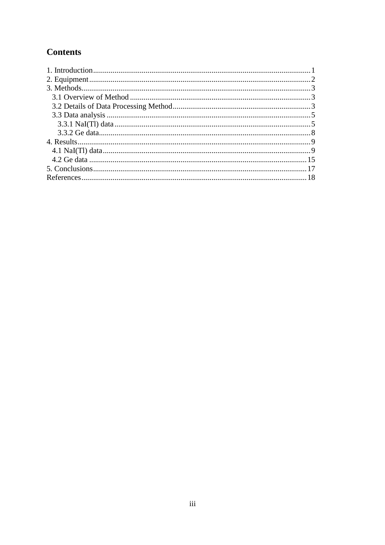# **Contents**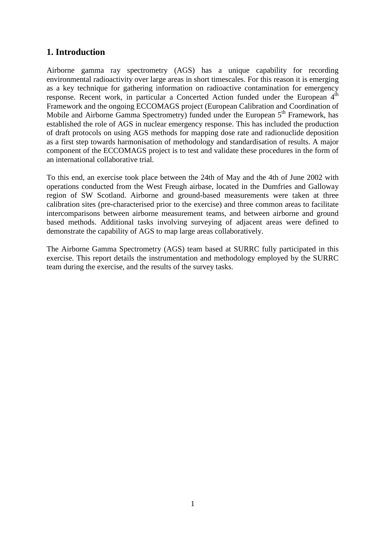## **1. Introduction**

Airborne gamma ray spectrometry (AGS) has a unique capability for recording environmental radioactivity over large areas in short timescales. For this reason it is emerging as a key technique for gathering information on radioactive contamination for emergency response. Recent work, in particular a Concerted Action funded under the European 4<sup>th</sup> Framework and the ongoing ECCOMAGS project (European Calibration and Coordination of Mobile and Airborne Gamma Spectrometry) funded under the European  $5<sup>th</sup>$  Framework, has established the role of AGS in nuclear emergency response. This has included the production of draft protocols on using AGS methods for mapping dose rate and radionuclide deposition as a first step towards harmonisation of methodology and standardisation of results. A major component of the ECCOMAGS project is to test and validate these procedures in the form of an international collaborative trial.

To this end, an exercise took place between the 24th of May and the 4th of June 2002 with operations conducted from the West Freugh airbase, located in the Dumfries and Galloway region of SW Scotland. Airborne and ground-based measurements were taken at three calibration sites (pre-characterised prior to the exercise) and three common areas to facilitate intercomparisons between airborne measurement teams, and between airborne and ground based methods. Additional tasks involving surveying of adjacent areas were defined to demonstrate the capability of AGS to map large areas collaboratively.

The Airborne Gamma Spectrometry (AGS) team based at SURRC fully participated in this exercise. This report details the instrumentation and methodology employed by the SURRC team during the exercise, and the results of the survey tasks.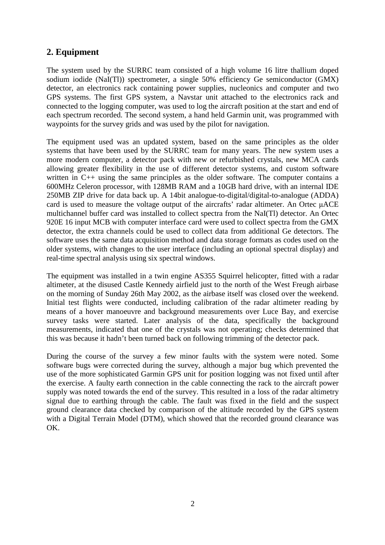# **2. Equipment**

The system used by the SURRC team consisted of a high volume 16 litre thallium doped sodium iodide (NaI(Tl)) spectrometer, a single 50% efficiency Ge semiconductor (GMX) detector, an electronics rack containing power supplies, nucleonics and computer and two GPS systems. The first GPS system, a Navstar unit attached to the electronics rack and connected to the logging computer, was used to log the aircraft position at the start and end of each spectrum recorded. The second system, a hand held Garmin unit, was programmed with waypoints for the survey grids and was used by the pilot for navigation.

The equipment used was an updated system, based on the same principles as the older systems that have been used by the SURRC team for many years. The new system uses a more modern computer, a detector pack with new or refurbished crystals, new MCA cards allowing greater flexibility in the use of different detector systems, and custom software written in C++ using the same principles as the older software. The computer contains a 600MHz Celeron processor, with 128MB RAM and a 10GB hard drive, with an internal IDE 250MB ZIP drive for data back up. A 14bit analogue-to-digital/digital-to-analogue (ADDA) card is used to measure the voltage output of the aircrafts' radar altimeter. An Ortec µACE multichannel buffer card was installed to collect spectra from the NaI(Tl) detector. An Ortec 920E 16 input MCB with computer interface card were used to collect spectra from the GMX detector, the extra channels could be used to collect data from additional Ge detectors. The software uses the same data acquisition method and data storage formats as codes used on the older systems, with changes to the user interface (including an optional spectral display) and real-time spectral analysis using six spectral windows.

The equipment was installed in a twin engine AS355 Squirrel helicopter, fitted with a radar altimeter, at the disused Castle Kennedy airfield just to the north of the West Freugh airbase on the morning of Sunday 26th May 2002, as the airbase itself was closed over the weekend. Initial test flights were conducted, including calibration of the radar altimeter reading by means of a hover manoeuvre and background measurements over Luce Bay, and exercise survey tasks were started. Later analysis of the data, specifically the background measurements, indicated that one of the crystals was not operating; checks determined that this was because it hadn't been turned back on following trimming of the detector pack.

During the course of the survey a few minor faults with the system were noted. Some software bugs were corrected during the survey, although a major bug which prevented the use of the more sophisticated Garmin GPS unit for position logging was not fixed until after the exercise. A faulty earth connection in the cable connecting the rack to the aircraft power supply was noted towards the end of the survey. This resulted in a loss of the radar altimetry signal due to earthing through the cable. The fault was fixed in the field and the suspect ground clearance data checked by comparison of the altitude recorded by the GPS system with a Digital Terrain Model (DTM), which showed that the recorded ground clearance was OK.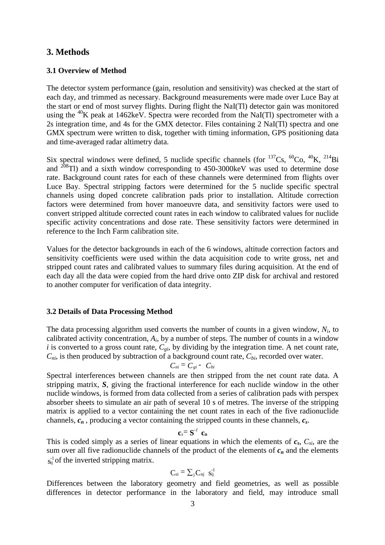## **3. Methods**

#### **3.1 Overview of Method**

The detector system performance (gain, resolution and sensitivity) was checked at the start of each day, and trimmed as necessary. Background measurements were made over Luce Bay at the start or end of most survey flights. During flight the NaI(Tl) detector gain was monitored using the <sup>40</sup>K peak at 1462keV. Spectra were recorded from the NaI(Tl) spectrometer with a 2s integration time, and 4s for the GMX detector. Files containing 2 NaI(Tl) spectra and one GMX spectrum were written to disk, together with timing information, GPS positioning data and time-averaged radar altimetry data.

Six spectral windows were defined, 5 nuclide specific channels (for  $^{137}Cs$ ,  $^{60}Co$ ,  $^{40}K$ ,  $^{214}Bi$ ) and  $^{208}$ Tl) and a sixth window corresponding to 450-3000 keV was used to determine dose rate. Background count rates for each of these channels were determined from flights over Luce Bay. Spectral stripping factors were determined for the 5 nuclide specific spectral channels using doped concrete calibration pads prior to installation. Altitude correction factors were determined from hover manoeuvre data, and sensitivity factors were used to convert stripped altitude corrected count rates in each window to calibrated values for nuclide specific activity concentrations and dose rate. These sensitivity factors were determined in reference to the Inch Farm calibration site.

Values for the detector backgrounds in each of the 6 windows, altitude correction factors and sensitivity coefficients were used within the data acquisition code to write gross, net and stripped count rates and calibrated values to summary files during acquisition. At the end of each day all the data were copied from the hard drive onto ZIP disk for archival and restored to another computer for verification of data integrity.

#### **3.2 Details of Data Processing Method**

The data processing algorithm used converts the number of counts in a given window,  $N_i$ , to calibrated activity concentration,  $A_i$ , by a number of steps. The number of counts in a window *i* is converted to a gross count rate,  $C_{gi}$ , by dividing by the integration time. A net count rate, *Cni*, is then produced by subtraction of a background count rate, *Cbi*, recorded over water.

$$
C_{ni}=C_{gi}-C_{bi}
$$

Spectral interferences between channels are then stripped from the net count rate data. A stripping matrix, *S*, giving the fractional interference for each nuclide window in the other nuclide windows, is formed from data collected from a series of calibration pads with perspex absorber sheets to simulate an air path of several 10 s of metres. The inverse of the stripping matrix is applied to a vector containing the net count rates in each of the five radionuclide channels, *cn* , producing a vector containing the stripped counts in these channels, *cs*.

$$
\mathbf{c}_s = \mathbf{S}^{-1} \mathbf{c}_n
$$

This is coded simply as a series of linear equations in which the elements of *cs*, *Csi*, are the sum over all five radionuclide channels of the product of the elements of  $c_n$  and the elements  $s_{ij}^{-1}$  of the inverted stripping matrix.

$$
\mathbf{C}_{\mathrm{si}} \equiv \sum_{j} \mathbf{C}_{\mathrm{nj}} \ \ \mathbf{s}_{\mathrm{ij}}^{-1}
$$

Differences between the laboratory geometry and field geometries, as well as possible differences in detector performance in the laboratory and field, may introduce small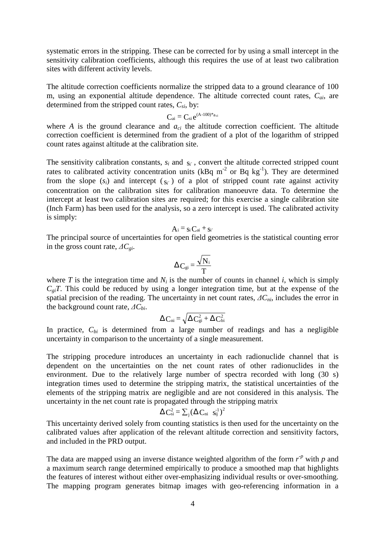systematic errors in the stripping. These can be corrected for by using a small intercept in the sensitivity calibration coefficients, although this requires the use of at least two calibration sites with different activity levels.

The altitude correction coefficients normalize the stripped data to a ground clearance of 100 m, using an exponential altitude dependence. The altitude corrected count rates, *Cai*, are determined from the stripped count rates,  $C_{si}$ , by:

$$
C_{ai} \equiv C_{si} \, e^{(A\text{-}100)^* a_{ci}}
$$

where *A* is the ground clearance and  $a_{ci}$  the altitude correction coefficient. The altitude correction coefficient is determined from the gradient of a plot of the logarithm of stripped count rates against altitude at the calibration site.

The sensitivity calibration constants,  $s_i$  and  $s_{i'}$ , convert the altitude corrected stripped count rates to calibrated activity concentration units ( $kBq$  m<sup>-2</sup> or Bq kg<sup>-1</sup>). They are determined from the slope  $(s_i)$  and intercept  $(s_{i'})$  of a plot of stripped count rate against activity concentration on the calibration sites for calibration manoeuvre data. To determine the intercept at least two calibration sites are required; for this exercise a single calibration site (Inch Farm) has been used for the analysis, so a zero intercept is used. The calibrated activity is simply:

$$
A_i \equiv s_i\,C_{ai} \pm s_{i'}
$$

The principal source of uncertainties for open field geometries is the statistical counting error in the gross count rate, *∆Cgi*.

$$
\Delta C_{gi} = \frac{\sqrt{N_i}}{T}
$$

where *T* is the integration time and  $N_i$  is the number of counts in channel *i*, which is simply  $C_{gi}T$ . This could be reduced by using a longer integration time, but at the expense of the spatial precision of the reading. The uncertainty in net count rates, *∆Cni*, includes the error in the background count rate, *∆Cbi*.

$$
\Delta\,\mathrm{C}_{\mathrm{ni}}=\sqrt{\Delta\,\mathrm{C}_{\mathrm{gi}}^2+\Delta\,\mathrm{C}_{\mathrm{bi}}^2}
$$

In practice,  $C_{bi}$  is determined from a large number of readings and has a negligible uncertainty in comparison to the uncertainty of a single measurement.

The stripping procedure introduces an uncertainty in each radionuclide channel that is dependent on the uncertainties on the net count rates of other radionuclides in the environment. Due to the relatively large number of spectra recorded with long (30 s) integration times used to determine the stripping matrix, the statistical uncertainties of the elements of the stripping matrix are negligible and are not considered in this analysis. The uncertainty in the net count rate is propagated through the stripping matrix

$$
\Delta \, \mathbf{C}_{\mathrm{si}}^2 = \sum_j \left( \Delta \, \mathbf{C}_{\mathrm{ni}} \ \ \mathbf{s}_{\mathrm{ij}}^{-1} \right)^2
$$

This uncertainty derived solely from counting statistics is then used for the uncertainty on the calibrated values after application of the relevant altitude correction and sensitivity factors, and included in the PRD output.

The data are mapped using an inverse distance weighted algorithm of the form  $r^p$  with  $p$  and a maximum search range determined empirically to produce a smoothed map that highlights the features of interest without either over-emphasizing individual results or over-smoothing. The mapping program generates bitmap images with geo-referencing information in a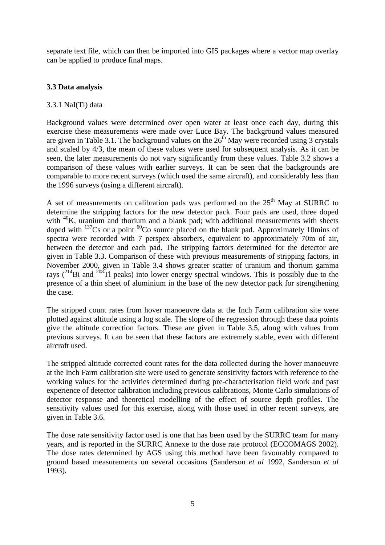separate text file, which can then be imported into GIS packages where a vector map overlay can be applied to produce final maps.

## **3.3 Data analysis**

### 3.3.1 NaI(Tl) data

Background values were determined over open water at least once each day, during this exercise these measurements were made over Luce Bay. The background values measured are given in Table 3.1. The background values on the 26<sup>th</sup> May were recorded using 3 crystals and scaled by 4/3, the mean of these values were used for subsequent analysis. As it can be seen, the later measurements do not vary significantly from these values. Table 3.2 shows a comparison of these values with earlier surveys. It can be seen that the backgrounds are comparable to more recent surveys (which used the same aircraft), and considerably less than the 1996 surveys (using a different aircraft).

A set of measurements on calibration pads was performed on the  $25<sup>th</sup>$  May at SURRC to determine the stripping factors for the new detector pack. Four pads are used, three doped with <sup>40</sup>K, uranium and thorium and a blank pad; with additional measurements with sheets doped with  $137Cs$  or a point  ${}^{60}Co$  source placed on the blank pad. Approximately 10mins of spectra were recorded with 7 perspex absorbers, equivalent to approximately 70m of air, between the detector and each pad. The stripping factors determined for the detector are given in Table 3.3. Comparison of these with previous measurements of stripping factors, in November 2000, given in Table 3.4 shows greater scatter of uranium and thorium gamma rays  $(^{214}Bi$  and  $^{208}Ti$  peaks) into lower energy spectral windows. This is possibly due to the presence of a thin sheet of aluminium in the base of the new detector pack for strengthening the case.

The stripped count rates from hover manoeuvre data at the Inch Farm calibration site were plotted against altitude using a log scale. The slope of the regression through these data points give the altitude correction factors. These are given in Table 3.5, along with values from previous surveys. It can be seen that these factors are extremely stable, even with different aircraft used.

The stripped altitude corrected count rates for the data collected during the hover manoeuvre at the Inch Farm calibration site were used to generate sensitivity factors with reference to the working values for the activities determined during pre-characterisation field work and past experience of detector calibration including previous calibrations, Monte Carlo simulations of detector response and theoretical modelling of the effect of source depth profiles. The sensitivity values used for this exercise, along with those used in other recent surveys, are given in Table 3.6.

The dose rate sensitivity factor used is one that has been used by the SURRC team for many years, and is reported in the SURRC Annexe to the dose rate protocol (ECCOMAGS 2002). The dose rates determined by AGS using this method have been favourably compared to ground based measurements on several occasions (Sanderson *et al* 1992, Sanderson *et al* 1993).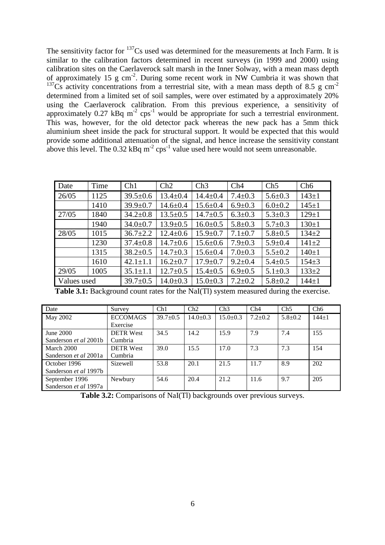The sensitivity factor for  $137$ Cs used was determined for the measurements at Inch Farm. It is similar to the calibration factors determined in recent surveys (in 1999 and 2000) using calibration sites on the Caerlaverock salt marsh in the Inner Solway, with a mean mass depth of approximately 15 g cm-2. During some recent work in NW Cumbria it was shown that <sup>137</sup>Cs activity concentrations from a terrestrial site, with a mean mass depth of 8.5 g cm<sup>-2</sup> determined from a limited set of soil samples, were over estimated by a approximately 20% using the Caerlaverock calibration. From this previous experience, a sensitivity of approximately  $0.27 \text{ kBq m}^{-2} \text{cps}^{-1}$  would be appropriate for such a terrestrial environment. This was, however, for the old detector pack whereas the new pack has a 5mm thick aluminium sheet inside the pack for structural support. It would be expected that this would provide some additional attenuation of the signal, and hence increase the sensitivity constant above this level. The  $0.32$  kBq m<sup>-2</sup> cps<sup>-1</sup> value used here would not seem unreasonable.

| Date        | Time | Ch1            | Ch2            | Ch3            | Ch4           | Ch5           | Ch6         |
|-------------|------|----------------|----------------|----------------|---------------|---------------|-------------|
| 26/05       | 1125 | $39.5 \pm 0.6$ | $13.4 \pm 0.4$ | $14.4 \pm 0.4$ | $7.4 \pm 0.3$ | $5.6 \pm 0.3$ | $143 \pm 1$ |
|             | 1410 | $39.9 \pm 0.7$ | $14.6 \pm 0.4$ | $15.6 \pm 0.4$ | $6.9 \pm 0.3$ | $6.0 \pm 0.2$ | $145 + 1$   |
| 27/05       | 1840 | $34.2 \pm 0.8$ | $13.5 \pm 0.5$ | $14.7 \pm 0.5$ | $6.3 \pm 0.3$ | $5.3 \pm 0.3$ | $129 \pm 1$ |
|             | 1940 | $34.0 \pm 0.7$ | $13.9 \pm 0.5$ | $16.0 \pm 0.5$ | $5.8 \pm 0.3$ | $5.7 \pm 0.3$ | $130+1$     |
| 28/05       | 1015 | $36.7 \pm 2.2$ | $12.4 \pm 0.6$ | $15.9 \pm 0.7$ | $7.1 \pm 0.7$ | $5.8 \pm 0.5$ | $134 + 2$   |
|             | 1230 | $37.4 \pm 0.8$ | $14.7 \pm 0.6$ | $15.6 \pm 0.6$ | $7.9 \pm 0.3$ | $5.9 \pm 0.4$ | $141 + 2$   |
|             | 1315 | $38.2 \pm 0.5$ | $14.7 \pm 0.3$ | $15.6 \pm 0.4$ | $7.0 \pm 0.3$ | $5.5 \pm 0.2$ | $140+1$     |
|             | 1610 | $42.1 \pm 1.1$ | $16.2 \pm 0.7$ | $17.9 \pm 0.7$ | $9.2 \pm 0.4$ | $5.4 \pm 0.5$ | $154 \pm 3$ |
| 29/05       | 1005 | $35.1 \pm 1.1$ | $12.7 \pm 0.5$ | $15.4 \pm 0.5$ | $6.9 \pm 0.5$ | $5.1 \pm 0.3$ | $133+2$     |
| Values used |      | $39.7 \pm 0.5$ | $14.0 \pm 0.3$ | $15.0 \pm 0.3$ | $7.2 \pm 0.2$ | $5.8 \pm 0.2$ | $144 + 1$   |

| Table 3.1: Background count rates for the NaI(Tl) system measured during the exercise. |  |  |
|----------------------------------------------------------------------------------------|--|--|
|                                                                                        |  |  |

| Date                         | Survey           | Ch1            | Ch2            | Ch3            | Ch4           | Ch5         | Ch6       |
|------------------------------|------------------|----------------|----------------|----------------|---------------|-------------|-----------|
| May 2002                     | <b>ECCOMAGS</b>  | $39.7 \pm 0.5$ | $14.0 \pm 0.3$ | $15.0 \pm 0.3$ | $7.2 \pm 0.2$ | $5.8 + 0.2$ | $144 + 1$ |
|                              | Exercise         |                |                |                |               |             |           |
| June $2000$                  | <b>DETR West</b> | 34.5           | 14.2           | 15.9           | 7.9           | 7.4         | 155       |
| Sanderson <i>et al</i> 2001b | Cumbria          |                |                |                |               |             |           |
| March 2000                   | <b>DETR West</b> | 39.0           | 15.5           | 17.0           | 7.3           | 7.3         | 154       |
| Sanderson <i>et al</i> 2001a | Cumbria          |                |                |                |               |             |           |
| October 1996                 | <b>Sizewell</b>  | 53.8           | 20.1           | 21.5           | 11.7          | 8.9         | 202       |
| Sanderson <i>et al</i> 1997b |                  |                |                |                |               |             |           |
| September 1996               | Newbury          | 54.6           | 20.4           | 21.2           | 11.6          | 9.7         | 205       |
| Sanderson <i>et al</i> 1997a |                  |                |                |                |               |             |           |

**Table 3.2:** Comparisons of NaI(Tl) backgrounds over previous surveys.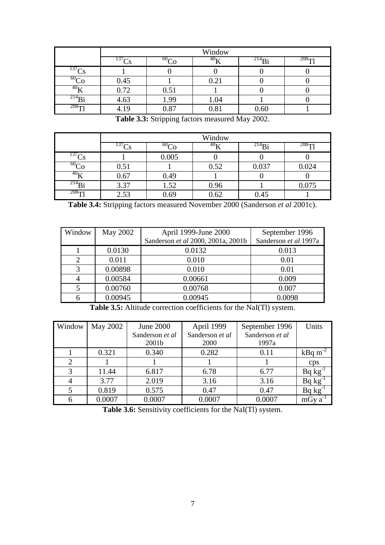|                  |             | Window   |                 |                         |         |  |  |
|------------------|-------------|----------|-----------------|-------------------------|---------|--|--|
|                  | $^{137}$ Ce | $60\sim$ | 40 <sub>T</sub> | $^{214}$ B <sub>1</sub> | $208$ T |  |  |
| $^{137}$ Ce      |             |          |                 |                         |         |  |  |
| 60 <sub>CP</sub> | 0.45        |          | 0.21            |                         |         |  |  |
| 40 <sub>V</sub>  | 0.72        | 0.51     |                 |                         |         |  |  |
| $^{214}$ B       | 4.63        | 1.99     | 1.04            |                         |         |  |  |
| $208 - 1$        | 4.19        | 0.87     | 0.81            | 0.60                    |         |  |  |

**Table 3.3:** Stripping factors measured May 2002.

|             | Window     |                        |                 |             |           |  |
|-------------|------------|------------------------|-----------------|-------------|-----------|--|
|             | $^{137}Cs$ | 60 <sub>CP</sub><br>-0 | 40 <sub>U</sub> | $^{214}B_1$ | $208 - 1$ |  |
| $^{137}$ Ce |            | 0.005                  |                 |             |           |  |
| $^{60}$ Co  | 0.51       |                        | 0.52            | 0.037       | 0.024     |  |
| $^{40}$ K   | 0.67       | 0.49                   |                 |             |           |  |
| $^{214}Bi$  | 3.37       | 1.52                   | 0.96            |             | 0.075     |  |
| $208 - 1$   | 2.53       | 0.69                   | 0.62            | 0.45        |           |  |

**Table 3.4:** Stripping factors measured November 2000 (Sanderson *et al* 2001c).

| Window | May 2002 | April 1999-June 2000               | September 1996        |
|--------|----------|------------------------------------|-----------------------|
|        |          | Sanderson et al 2000, 2001a, 2001b | Sanderson et al 1997a |
|        | 0.0130   | 0.0132                             | 0.013                 |
|        | 0.011    | 0.010                              | 0.01                  |
| 3      | 0.00898  | 0.010                              | 0.01                  |
| 4      | 0.00584  | 0.00661                            | 0.009                 |
|        | 0.00760  | 0.00768                            | 0.007                 |
| 6      | 0.00945  | 0.00945                            | 0.0098                |

**Table 3.5:** Altitude correction coefficients for the NaI(Tl) system.

| Window | May 2002 | June 2000         | April 1999      | September 1996  | Units        |
|--------|----------|-------------------|-----------------|-----------------|--------------|
|        |          | Sanderson et al   | Sanderson et al | Sanderson et al |              |
|        |          | 2001 <sub>b</sub> | 2000            | 1997a           |              |
|        | 0.321    | 0.340             | 0.282           | 0.11            | $kBq m-2$    |
| 2      |          |                   |                 |                 | cps          |
| 3      | 11.44    | 6.817             | 6.78            | 6.77            | $Bq kg^{-1}$ |
|        | 3.77     | 2.019             | 3.16            | 3.16            | $Bq kg^{-1}$ |
|        | 0.819    | 0.575             | 0.47            | 0.47            | $Bq kg^{-1}$ |
| 6      | 0.0007   | 0.0007            | 0.0007          | 0.0007          | $mGy a^{-1}$ |

Table 3.6: Sensitivity coefficients for the NaI(Tl) system.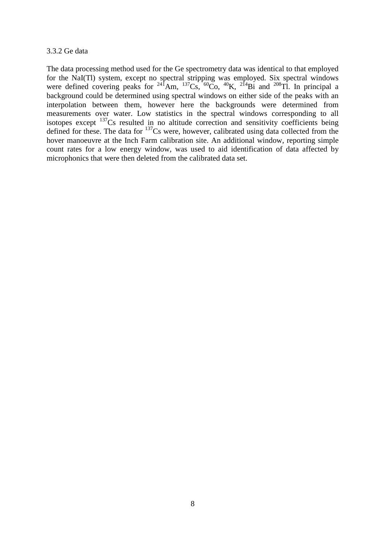#### 3.3.2 Ge data

The data processing method used for the Ge spectrometry data was identical to that employed for the NaI(Tl) system, except no spectral stripping was employed. Six spectral windows were defined covering peaks for <sup>241</sup>Am, <sup>137</sup>Cs, <sup>60</sup>Co, <sup>40</sup>K, <sup>214</sup>Bi and <sup>208</sup>Tl. In principal a background could be determined using spectral windows on either side of the peaks with an interpolation between them, however here the backgrounds were determined from measurements over water. Low statistics in the spectral windows corresponding to all isotopes except <sup>137</sup>Cs resulted in no altitude correction and sensitivity coefficients being defined for these. The data for <sup>137</sup>Cs were, however, calibrated using data collected from the hover manoeuvre at the Inch Farm calibration site. An additional window, reporting simple count rates for a low energy window, was used to aid identification of data affected by microphonics that were then deleted from the calibrated data set.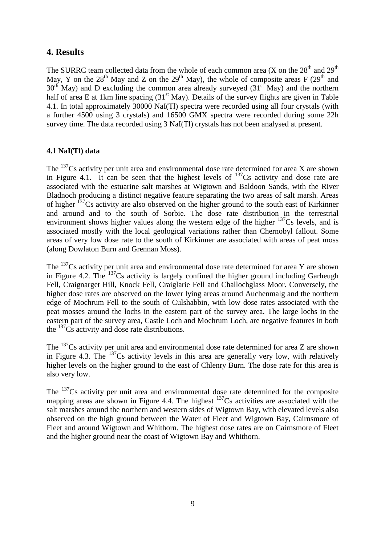## **4. Results**

The SURRC team collected data from the whole of each common area (X on the  $28<sup>th</sup>$  and  $29<sup>th</sup>$ May, Y on the  $28<sup>th</sup>$  May and Z on the  $29<sup>th</sup>$  May), the whole of composite areas F ( $29<sup>th</sup>$  and May), the whole of composite areas F ( $29<sup>th</sup>$  and  $30<sup>th</sup>$  May) and D excluding the common area already surveyed (31<sup>st</sup> May) and the northern half of area E at 1km line spacing  $(31<sup>st</sup>$  May). Details of the survey flights are given in Table 4.1. In total approximately 30000 NaI(Tl) spectra were recorded using all four crystals (with a further 4500 using 3 crystals) and 16500 GMX spectra were recorded during some 22h survey time. The data recorded using 3 NaI(Tl) crystals has not been analysed at present.

## **4.1 NaI(Tl) data**

The  $^{137}Cs$  activity per unit area and environmental dose rate determined for area X are shown in Figure 4.1. It can be seen that the highest levels of  $137Cs$  activity and dose rate are associated with the estuarine salt marshes at Wigtown and Baldoon Sands, with the River Bladnoch producing a distinct negative feature separating the two areas of salt marsh. Areas of higher  $137Cs$  activity are also observed on the higher ground to the south east of Kirkinner and around and to the south of Sorbie. The dose rate distribution in the terrestrial environment shows higher values along the western edge of the higher  $137Cs$  levels, and is associated mostly with the local geological variations rather than Chernobyl fallout. Some areas of very low dose rate to the south of Kirkinner are associated with areas of peat moss (along Dowlaton Burn and Grennan Moss).

The <sup>137</sup>Cs activity per unit area and environmental dose rate determined for area Y are shown in Figure 4.2. The  $^{137}Cs$  activity is largely confined the higher ground including Garheugh Fell, Craignarget Hill, Knock Fell, Craiglarie Fell and Challochglass Moor. Conversely, the higher dose rates are observed on the lower lying areas around Auchenmalg and the northern edge of Mochrum Fell to the south of Culshabbin, with low dose rates associated with the peat mosses around the lochs in the eastern part of the survey area. The large lochs in the eastern part of the survey area, Castle Loch and Mochrum Loch, are negative features in both the  $137$ Cs activity and dose rate distributions.

The <sup>137</sup>Cs activity per unit area and environmental dose rate determined for area Z are shown in Figure 4.3. The  $^{137}Cs$  activity levels in this area are generally very low, with relatively higher levels on the higher ground to the east of Chlenry Burn. The dose rate for this area is also very low.

The <sup>137</sup>Cs activity per unit area and environmental dose rate determined for the composite mapping areas are shown in Figure 4.4. The highest  $137Cs$  activities are associated with the salt marshes around the northern and western sides of Wigtown Bay, with elevated levels also observed on the high ground between the Water of Fleet and Wigtown Bay, Cairnsmore of Fleet and around Wigtown and Whithorn. The highest dose rates are on Cairnsmore of Fleet and the higher ground near the coast of Wigtown Bay and Whithorn.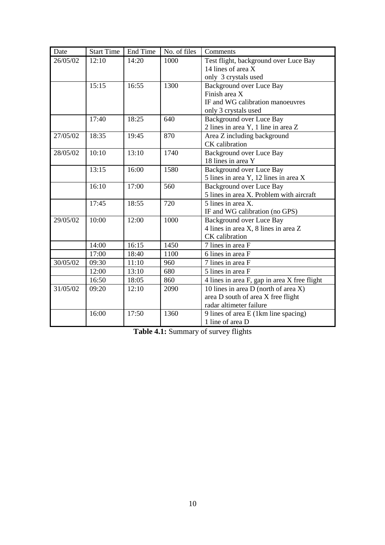| Date     | <b>Start Time</b> | End Time | No. of files | Comments                                     |
|----------|-------------------|----------|--------------|----------------------------------------------|
| 26/05/02 | 12:10             | 14:20    | 1000         | Test flight, background over Luce Bay        |
|          |                   |          |              | 14 lines of area X                           |
|          |                   |          |              | only 3 crystals used                         |
|          | 15:15             | 16:55    | 1300         | Background over Luce Bay                     |
|          |                   |          |              | Finish area X                                |
|          |                   |          |              | IF and WG calibration manoeuvres             |
|          |                   |          |              | only 3 crystals used                         |
|          | 17:40             | 18:25    | 640          | Background over Luce Bay                     |
|          |                   |          |              | 2 lines in area Y, 1 line in area Z          |
| 27/05/02 | 18:35             | 19:45    | 870          | Area Z including background                  |
|          |                   |          |              | CK calibration                               |
| 28/05/02 | 10:10             | 13:10    | 1740         | <b>Background over Luce Bay</b>              |
|          |                   |          |              | 18 lines in area Y                           |
|          | 13:15             | 16:00    | 1580         | <b>Background over Luce Bay</b>              |
|          |                   |          |              | 5 lines in area Y, 12 lines in area X        |
|          | 16:10             | 17:00    | 560          | <b>Background over Luce Bay</b>              |
|          |                   |          |              | 5 lines in area X. Problem with aircraft     |
|          | 17:45             | 18:55    | 720          | 5 lines in area X.                           |
|          |                   |          |              | IF and WG calibration (no GPS)               |
| 29/05/02 | 10:00             | 12:00    | 1000         | <b>Background over Luce Bay</b>              |
|          |                   |          |              | 4 lines in area X, 8 lines in area Z         |
|          |                   |          |              | CK calibration                               |
|          | 14:00             | 16:15    | 1450         | 7 lines in area F                            |
|          | 17:00             | 18:40    | 1100         | 6 lines in area F                            |
| 30/05/02 | 09:30             | 11:10    | 960          | 7 lines in area F                            |
|          | 12:00             | 13:10    | 680          | 5 lines in area F                            |
|          | 16:50             | 18:05    | 860          | 4 lines in area F, gap in area X free flight |
| 31/05/02 | 09:20             | 12:10    | 2090         | 10 lines in area D (north of area X)         |
|          |                   |          |              | area D south of area X free flight           |
|          |                   |          |              | radar altimeter failure                      |
|          | 16:00             | 17:50    | 1360         | 9 lines of area E (1km line spacing)         |
|          |                   |          |              | 1 line of area D                             |

**Table 4.1:** Summary of survey flights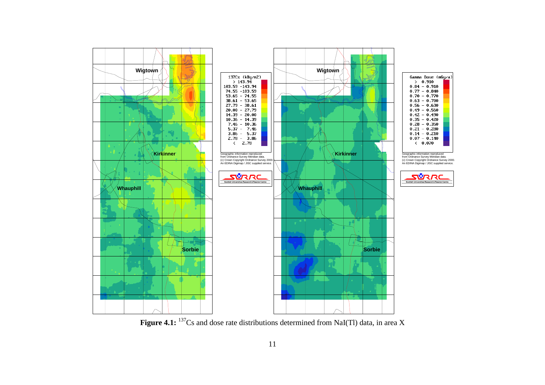

Figure 4.1: <sup>137</sup>Cs and dose rate distributions determined from NaI(Tl) data, in area X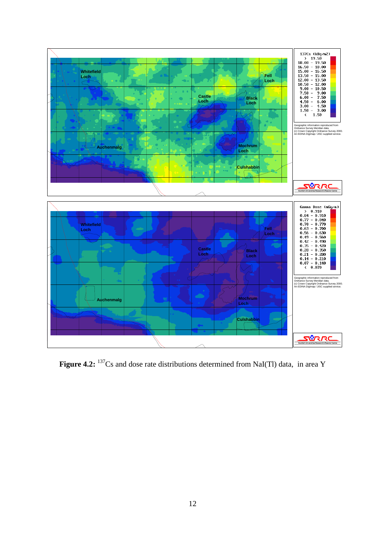

Figure 4.2: <sup>137</sup>Cs and dose rate distributions determined from NaI(Tl) data, in area Y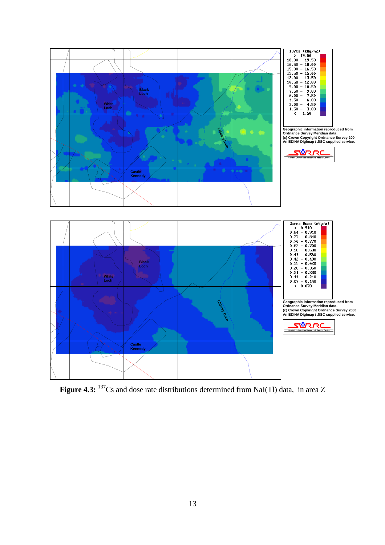

Figure 4.3: <sup>137</sup>Cs and dose rate distributions determined from NaI(Tl) data, in area Z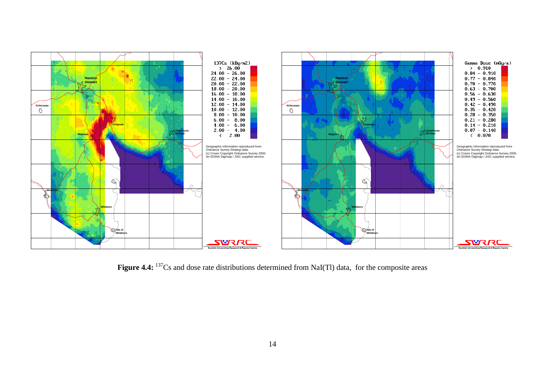

**Figure 4.4:** <sup>137</sup>Cs and dose rate distributions determined from NaI(Tl) data, for the composite areas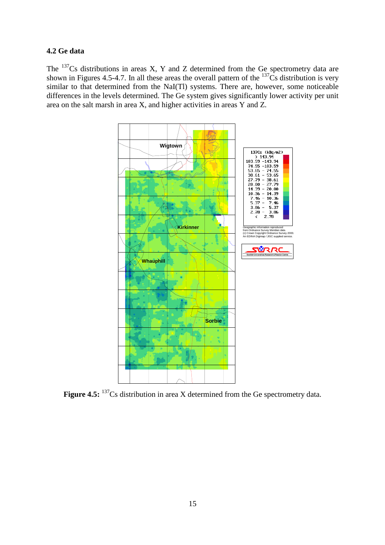#### **4.2 Ge data**

The  $137$ Cs distributions in areas X, Y and Z determined from the Ge spectrometry data are shown in Figures 4.5-4.7. In all these areas the overall pattern of the  $137\text{Cs}$  distribution is very similar to that determined from the NaI(Tl) systems. There are, however, some noticeable differences in the levels determined. The Ge system gives significantly lower activity per unit area on the salt marsh in area X, and higher activities in areas Y and Z.



**Figure 4.5:** <sup>137</sup>Cs distribution in area X determined from the Ge spectrometry data.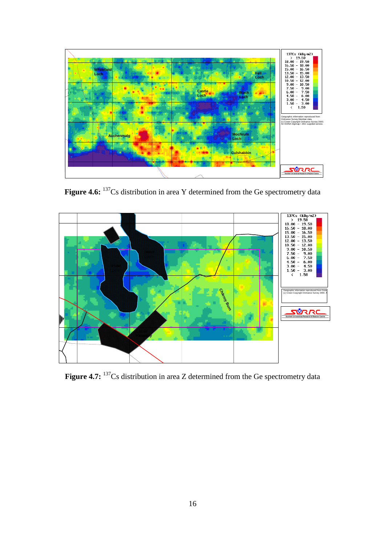

Figure 4.6: <sup>137</sup>Cs distribution in area Y determined from the Ge spectrometry data



Figure 4.7: <sup>137</sup>Cs distribution in area Z determined from the Ge spectrometry data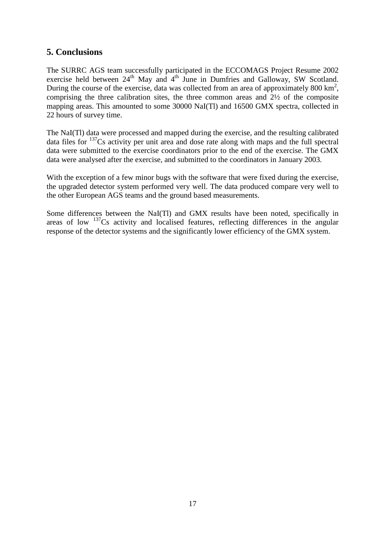# **5. Conclusions**

The SURRC AGS team successfully participated in the ECCOMAGS Project Resume 2002 exercise held between  $24^{\text{th}}$  May and  $4^{\text{th}}$  June in Dumfries and Galloway, SW Scotland. During the course of the exercise, data was collected from an area of approximately 800  $\text{km}^2$ , comprising the three calibration sites, the three common areas and 2½ of the composite mapping areas. This amounted to some 30000 NaI(Tl) and 16500 GMX spectra, collected in 22 hours of survey time.

The NaI(Tl) data were processed and mapped during the exercise, and the resulting calibrated data files for <sup>137</sup>Cs activity per unit area and dose rate along with maps and the full spectral data were submitted to the exercise coordinators prior to the end of the exercise. The GMX data were analysed after the exercise, and submitted to the coordinators in January 2003.

With the exception of a few minor bugs with the software that were fixed during the exercise, the upgraded detector system performed very well. The data produced compare very well to the other European AGS teams and the ground based measurements.

Some differences between the NaI(Tl) and GMX results have been noted, specifically in areas of low  $137Cs$  activity and localised features, reflecting differences in the angular response of the detector systems and the significantly lower efficiency of the GMX system.